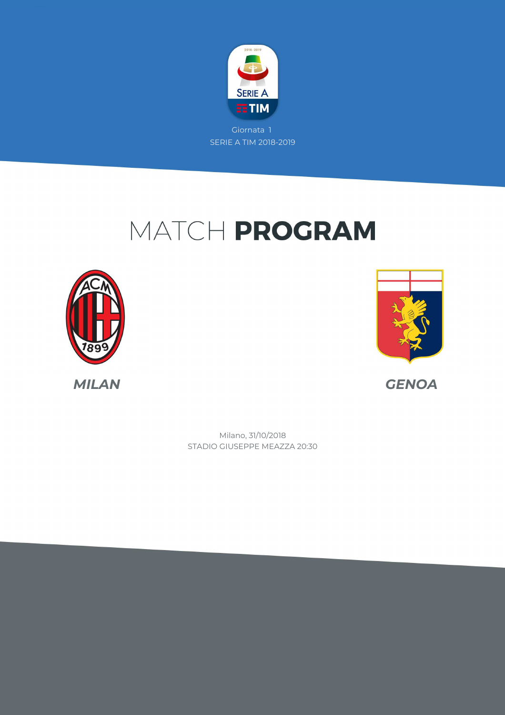

# MATCH PROGRAM





STADIO GIUSEPPE MEAZZA 20:30 Milano, 31/10/2018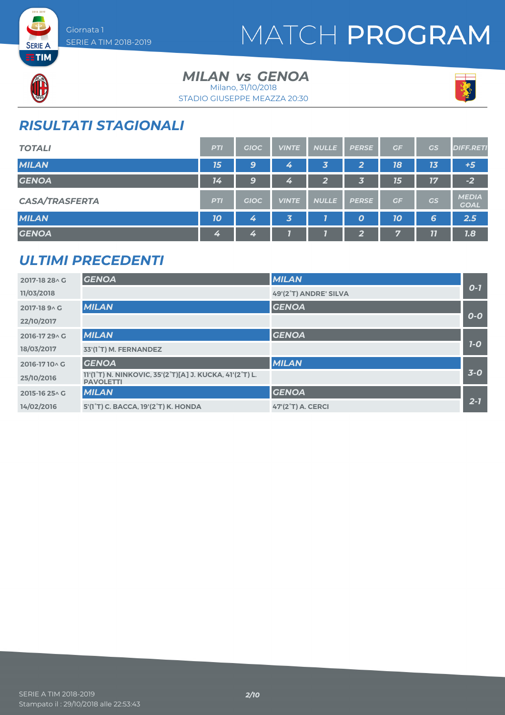

# MATCH PROGRAM



**SERIE A** 

# *MILAN GENOA vs*

STADIO GIUSEPPE MEAZZA 20:30 Milano, 31/10/2018



## *RISULTATI STAGIONALI*

| <b>TOTALI</b>         | <b>PTI</b> | <b>GIOC</b> | <b>VINTE</b>            | <b>NULLE</b>   | <b>PERSE</b>     | GF | GS | <b>DIFF.RETI</b>            |
|-----------------------|------------|-------------|-------------------------|----------------|------------------|----|----|-----------------------------|
| <b>MILAN</b>          | 15         | 9           | 4                       | 3              | 2                | 18 | 13 | $+5$                        |
| <b>GENOA</b>          | 14         | 9           | 4                       | $\overline{2}$ | 3                | 15 | 17 | $-2$                        |
| <b>CASA/TRASFERTA</b> | <b>PTI</b> | <b>GIOC</b> | <b>VINTE</b>            | <b>NULLE</b>   | <b>PERSE</b>     | GF | GS | <b>MEDIA</b><br><b>GOAL</b> |
| <b>MILAN</b>          | 10         | 4           | $\overline{\mathbf{3}}$ |                | $\boldsymbol{o}$ | 10 | 6  | 2.5                         |
| <b>GENOA</b>          | 4          | 4           |                         |                | $\overline{2}$   | 7  | 11 | 7.8                         |

#### *ULTIMI PRECEDENTI*

| 2017-18 28 \ G | <b>GENOA</b>                                                                                                       | <b>MILAN</b>             |         |
|----------------|--------------------------------------------------------------------------------------------------------------------|--------------------------|---------|
| 11/03/2018     |                                                                                                                    | 49'(2°T) ANDRE' SILVA    | $0 - 7$ |
| 2017-18 9 A G  | <b>MILAN</b>                                                                                                       | <b>GENOA</b>             |         |
| 22/10/2017     |                                                                                                                    |                          | $O-O$   |
| 2016-17 29 A G | <b>MILAN</b>                                                                                                       | <b>GENOA</b>             |         |
| 18/03/2017     | 33'(1°T) M. FERNANDEZ                                                                                              |                          | $7-0$   |
| 2016-1710 G    | <b>GENOA</b>                                                                                                       | <b>MILAN</b>             |         |
| 25/10/2016     | 11'(1 <sup>°</sup> T) N. NINKOVIC, 35'(2 <sup>°</sup> T)[A] J. KUCKA, 41'(2 <sup>°</sup> T) L.<br><b>PAVOLETTI</b> |                          | $3-0$   |
| 2015-16 25 \ G | <b>MILAN</b>                                                                                                       | <b>GENOA</b>             |         |
| 14/02/2016     | 5'(1°T) C. BACCA. 19'(2°T) K. HONDA                                                                                | <b>47'(2°T) A. CERCI</b> | $2 - 7$ |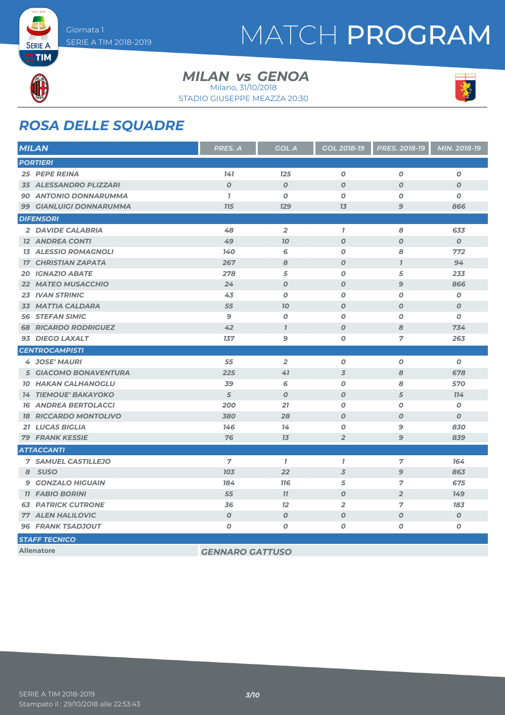

# MATCH PROGRAM



**SERIE A** 

#### *MILAN GENOA vs* Milano, 31/10/2018



#### STADIO GIUSEPPE MEAZZA 20:30

### *ROSA DELLE SQUADRE*

| <b>MILAN</b>                  | PRES. A                | <b>GOL A</b>        | GOL 2018-19      | PRES. 2018-19    | MIN. 2018-19     |
|-------------------------------|------------------------|---------------------|------------------|------------------|------------------|
| <b>PORTIERI</b>               |                        |                     |                  |                  |                  |
| <b>25 PEPE REINA</b>          | 141                    | 125                 | 0                | 0                | 0                |
| <b>35 ALESSANDRO PLIZZARI</b> | $\boldsymbol{O}$       | $\boldsymbol{0}$    | $\boldsymbol{O}$ | $\boldsymbol{O}$ | $\boldsymbol{o}$ |
| <b>90 ANTONIO DONNARUMMA</b>  | $\mathbf{I}$           | 0                   | O                | O                | 0                |
| 99 GIANLUIGI DONNARUMMA       | <b>715</b>             | <b>129</b>          | 7 <sub>3</sub>   | $\mathbf{9}$     | 866              |
| <b>DIFENSORI</b>              |                        |                     |                  |                  |                  |
| 2 DAVIDE CALABRIA             | 48                     | $\overline{2}$      | $\mathbf{I}$     | 8                | 633              |
| <b>12 ANDREA CONTI</b>        | 49                     | 70                  | $\boldsymbol{O}$ | $\boldsymbol{O}$ | $\boldsymbol{o}$ |
| <b>13 ALESSIO ROMAGNOLI</b>   | 140                    | 6                   | 0                | 8                | 772              |
| <b>17 CHRISTIAN ZAPATA</b>    | 267                    | 8                   | $\boldsymbol{O}$ | $\overline{I}$   | 94               |
| <b>20 IGNAZIO ABATE</b>       | 278                    | 5                   | $\boldsymbol{O}$ | 5                | 233              |
| <b>22 MATEO MUSACCHIO</b>     | 24                     | $\boldsymbol{O}$    | $\boldsymbol{O}$ | $\mathbf{9}$     | 866              |
| <b>23 IVAN STRINIC</b>        | 43                     | 0                   | $\boldsymbol{O}$ | O                | 0                |
| 33 MATTIA CALDARA             | 55                     | 70                  | $\boldsymbol{O}$ | $\boldsymbol{O}$ | $\boldsymbol{0}$ |
| <b>56 STEFAN SIMIC</b>        | $\mathbf{9}$           | $\boldsymbol{O}$    | $\boldsymbol{0}$ | O                | O                |
| <b>68 RICARDO RODRIGUEZ</b>   | 42                     | $\boldsymbol{\eta}$ | $\boldsymbol{O}$ | 8                | 734              |
| 93 DIEGO LAXALT               | 137                    | 9                   | O                | 7                | 263              |
| <b>CENTROCAMPISTI</b>         |                        |                     |                  |                  |                  |
| <b>4 JOSE' MAURI</b>          | 55                     | $\overline{2}$      | 0                | 0                | $\boldsymbol{o}$ |
| 5 GIACOMO BONAVENTURA         | 225                    | 41                  | $\overline{3}$   | 8                | 678              |
| <b>10 HAKAN CALHANOGLU</b>    | 39                     | 6                   | $\boldsymbol{O}$ | 8                | 570              |
| <b>14 TIEMOUE' BAKAYOKO</b>   | 5                      | $\boldsymbol{O}$    | $\boldsymbol{O}$ | 5                | 114              |
| <b>16 ANDREA BERTOLACCI</b>   | 200                    | 21                  | $\boldsymbol{O}$ | $\boldsymbol{O}$ | 0                |
| <b>18 RICCARDO MONTOLIVO</b>  | 380                    | 28                  | $\boldsymbol{O}$ | $\boldsymbol{O}$ | $\boldsymbol{o}$ |
| <b>21 LUCAS BIGLIA</b>        | 146                    | 14                  | O                | 9                | 830              |
| <b>79 FRANK KESSIE</b>        | 76                     | 13                  | $\overline{2}$   | $\overline{9}$   | 839              |
| <b>ATTACCANTI</b>             |                        |                     |                  |                  |                  |
| <b>7 SAMUEL CASTILLEJO</b>    | $\overline{7}$         | $\mathbf{7}$        | $\mathbf{7}$     | $\overline{7}$   | 164              |
| 8 SUSO                        | 703                    | 22                  | $\overline{3}$   | 9                | 863              |
| <b>9 GONZALO HIGUAIN</b>      | 184                    | <b>116</b>          | 5                | 7                | 675              |
| <b>11 FABIO BORINI</b>        | 55                     | 11                  | $\boldsymbol{O}$ | $\overline{2}$   | 149              |
| <b>63 PATRICK CUTRONE</b>     | 36                     | 12                  | $\overline{2}$   | 7                | 183              |
| <b>77 ALEN HALILOVIC</b>      | $\boldsymbol{O}$       | $\boldsymbol{O}$    | $\boldsymbol{O}$ | $\boldsymbol{O}$ | $\boldsymbol{O}$ |
| <b>96 FRANK TSADJOUT</b>      | 0                      | 0                   | 0                | O                | Ο                |
| <b>STAFF TECNICO</b>          |                        |                     |                  |                  |                  |
| <b>Allenatore</b>             | <b>GENNARO GATTUSO</b> |                     |                  |                  |                  |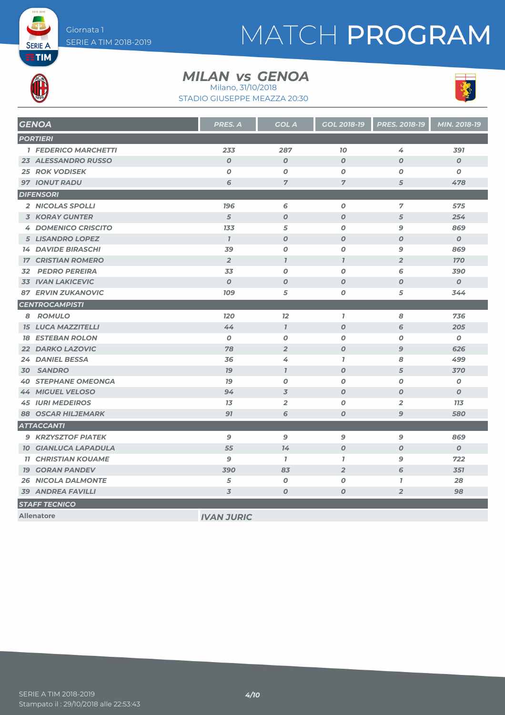# MATCH PROGRAM



**SERIE A** 

#### *MILAN GENOA vs*

STADIO GIUSEPPE MEAZZA 20:30 Milano, 31/10/2018



| <b>GENOA</b>                | <b>PRES. A</b>    | <b>GOL A</b>     | <b>GOL 2018-19</b> | <b>PRES. 2018-19</b> | MIN. 2018-19     |
|-----------------------------|-------------------|------------------|--------------------|----------------------|------------------|
| <b>PORTIERI</b>             |                   |                  |                    |                      |                  |
| <b>1 FEDERICO MARCHETTI</b> | 233               | 287              | 70                 | 4                    | 391              |
| <b>23 ALESSANDRO RUSSO</b>  | $\boldsymbol{O}$  | $\boldsymbol{0}$ | $\boldsymbol{0}$   | $\boldsymbol{0}$     | $\boldsymbol{O}$ |
| <b>25 ROK VODISEK</b>       | $\boldsymbol{O}$  | $\boldsymbol{0}$ | 0                  | O                    | $\boldsymbol{O}$ |
| <b>97 IONUT RADU</b>        | 6                 | $\overline{7}$   | 7                  | 5                    | 478              |
| <b>DIFENSORI</b>            |                   |                  |                    |                      |                  |
| 2 NICOLAS SPOLLI            | <b>196</b>        | 6                | $\boldsymbol{O}$   | 7                    | 575              |
| <b>3 KORAY GUNTER</b>       | 5                 | $\boldsymbol{O}$ | $\boldsymbol{0}$   | 5                    | 254              |
| <b>4 DOMENICO CRISCITO</b>  | 133               | 5                | 0                  | 9                    | 869              |
| <b>5 LISANDRO LOPEZ</b>     | $\mathbf{I}$      | $\boldsymbol{O}$ | $\boldsymbol{0}$   | $\boldsymbol{0}$     | $\boldsymbol{O}$ |
| <b>14 DAVIDE BIRASCHI</b>   | 39                | $\boldsymbol{O}$ | 0                  | 9                    | 869              |
| <b>17 CRISTIAN ROMERO</b>   | $\overline{2}$    | $\mathbf{I}$     | $\mathbf{I}$       | $\overline{2}$       | <b>170</b>       |
| <b>PEDRO PEREIRA</b><br>32  | 33                | $\boldsymbol{0}$ | 0                  | 6                    | 390              |
| <b>33 IVAN LAKICEVIC</b>    | $\boldsymbol{0}$  | $\boldsymbol{O}$ | $\boldsymbol{0}$   | $\boldsymbol{0}$     | $\boldsymbol{O}$ |
| <b>87 ERVIN ZUKANOVIC</b>   | <b>109</b>        | 5                | 0                  | 5                    | 344              |
| <b>CENTROCAMPISTI</b>       |                   |                  |                    |                      |                  |
| 8 ROMULO                    | <b>120</b>        | 12               | $\mathbf{I}$       | 8                    | 736              |
| <b>15 LUCA MAZZITELLI</b>   | 44                | $\overline{1}$   | $\boldsymbol{O}$   | 6                    | 205              |
| <b>18 ESTEBAN ROLON</b>     | $\boldsymbol{O}$  | $\boldsymbol{0}$ | 0                  | O                    | $\boldsymbol{o}$ |
| <b>22 DARKO LAZOVIC</b>     | 78                | $\overline{2}$   | $\boldsymbol{O}$   | 9                    | 626              |
| 24 DANIEL BESSA             | 36                | 4                | $\mathbf{I}$       | 8                    | 499              |
| 30 SANDRO                   | 79                | $\mathbf{I}$     | O                  | 5                    | 370              |
| <b>40 STEPHANE OMEONGA</b>  | 79                | 0                | 0                  | O                    | 0                |
| <b>44 MIGUEL VELOSO</b>     | 94                | $\overline{3}$   | $\boldsymbol{O}$   | 0                    | $\boldsymbol{0}$ |
| <b>45 IURI MEDEIROS</b>     | 13                | $\overline{2}$   | 0                  | $\overline{2}$       | <b>113</b>       |
| <b>88 OSCAR HILJEMARK</b>   | 91                | 6                | $\boldsymbol{O}$   | 9                    | 580              |
| <b>ATTACCANTI</b>           |                   |                  |                    |                      |                  |
| <b>9 KRZYSZTOF PIATEK</b>   | 9                 | $\mathbf{9}$     | 9                  | 9                    | 869              |
| <b>10 GIANLUCA LAPADULA</b> | 55                | 74               | $\boldsymbol{O}$   | O                    | $\boldsymbol{O}$ |
| <b>11 CHRISTIAN KOUAME</b>  | 9                 | $\mathbf{7}$     | $\mathbf{I}$       | 9                    | 722              |
| <b>19 GORAN PANDEV</b>      | 390               | 83               | $\overline{2}$     | 6                    | 351              |
| <b>26 NICOLA DALMONTE</b>   | 5                 | $\boldsymbol{0}$ | $\boldsymbol{O}$   | $\mathbf{7}$         | 28               |
| <b>39 ANDREA FAVILLI</b>    | 3                 | $\boldsymbol{0}$ | 0                  | $\overline{2}$       | 98               |
| <b>STAFF TECNICO</b>        |                   |                  |                    |                      |                  |
| <b>Allenatore</b>           | <b>IVAN JURIC</b> |                  |                    |                      |                  |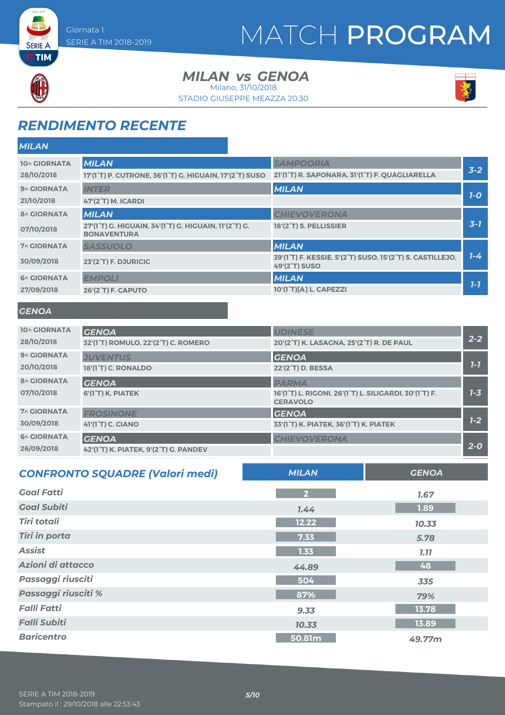# MATCH PROGRAM



**SERIE A** 

*MILAN*

*MILAN GENOA vs*

STADIO GIUSEPPE MEAZZA 20:30 Milano, 31/10/2018



## *RENDIMENTO RECENTE*

| 10^ GIORNATA             | <b>MILAN</b>                                                                | <b>SAMPDORIA</b>                                                          |                                                           | $3 - 2$ |
|--------------------------|-----------------------------------------------------------------------------|---------------------------------------------------------------------------|-----------------------------------------------------------|---------|
| 28/10/2018               | 17'(1°T) P. CUTRONE, 36'(1°T) G. HIGUAIN, 17'(2°T) SUSO                     | 21'(1°T) R. SAPONARA, 31'(1°T) F. QUAGLIARELLA                            |                                                           |         |
| 9^ GIORNATA              | <b>INTER</b>                                                                | <b>MILAN</b>                                                              |                                                           | $7-0$   |
| 21/10/2018               | <b>47'(2°T) M. ICARDI</b>                                                   |                                                                           |                                                           |         |
| <b>8^ GIORNATA</b>       | <b>MILAN</b>                                                                | <b>CHIEVOVERONA</b>                                                       |                                                           |         |
| 07/10/2018               | 27'(1°T) G. HIGUAIN, 34'(1°T) G. HIGUAIN, 11'(2°T) G.<br><b>BONAVENTURA</b> | 18'(2°T) S. PELLISSIER                                                    |                                                           | $3 - 7$ |
| <b>7^ GIORNATA</b>       | <b>SASSUOLO</b>                                                             | <b>MILAN</b>                                                              |                                                           |         |
| 30/09/2018               | 23'(2°T) F. DJURICIC                                                        | <b>49'(2°T) SUSO</b>                                                      | 39'(1°T) F. KESSIE, 5'(2°T) SUSO, 15'(2°T) S. CASTILLEJO, | $1 - 4$ |
| <b>6^ GIORNATA</b>       | <b>EMPOLI</b>                                                               | <b>MILAN</b>                                                              |                                                           |         |
| 27/09/2018               | <b>26'(2°T) F. CAPUTO</b>                                                   | 10'(1 <sup>°</sup> T)[A] L. CAPEZZI                                       |                                                           | $1 - 7$ |
| <b>GENOA</b>             |                                                                             |                                                                           |                                                           |         |
| 10^ GIORNATA             | <b>GENOA</b>                                                                | <b>UDINESE</b>                                                            |                                                           |         |
| 28/10/2018               | 32'(1°T) ROMULO, 22'(2°T) C. ROMERO                                         | 20'(2°T) K. LASAGNA, 25'(2°T) R. DE PAUL                                  |                                                           | $2 - 2$ |
| 9^ GIORNATA              | <b>JUVENTUS</b>                                                             | <b>GENOA</b>                                                              |                                                           |         |
| 20/10/2018               | 18'(1°T) C. RONALDO                                                         | 22'(2 <sup>°</sup> T) D. BESSA                                            |                                                           | $7-7$   |
| <b>8^ GIORNATA</b>       | <b>GENOA</b>                                                                | <b>PARMA</b>                                                              |                                                           |         |
| 07/10/2018               | 6'(1°T) K. PIATEK                                                           | 16'(1°T) L. RIGONI, 26'(1°T) L. SILIGARDI, 30'(1°T) F.<br><b>CERAVOLO</b> |                                                           | $1 - 3$ |
| <b>7^ GIORNATA</b>       | <b>FROSINONE</b>                                                            | <b>GENOA</b>                                                              |                                                           |         |
| 30/09/2018               | 41'(1 <sup>°</sup> T) C. CIANO                                              | 33'(1°T) K. PIATEK, 36'(1°T) K. PIATEK                                    |                                                           | $1 - 2$ |
| <b>6^ GIORNATA</b>       | <b>GENOA</b>                                                                | <b>CHIEVOVERONA</b>                                                       |                                                           | $2 - 0$ |
| 26/09/2018               | 42'(1°T) K. PIATEK, 9'(2°T) G. PANDEV                                       |                                                                           |                                                           |         |
|                          | <b>CONFRONTO SQUADRE (Valori medi)</b>                                      | <b>MILAN</b>                                                              | <b>GENOA</b>                                              |         |
| <b>Goal Fatti</b>        |                                                                             | $\overline{2}$                                                            | 1.67                                                      |         |
| <b>Goal Subiti</b>       |                                                                             | 7.44                                                                      | 1.89                                                      |         |
| <b>Tiri totali</b>       |                                                                             | 12.22                                                                     | 10.33                                                     |         |
| <b>Tiri in porta</b>     |                                                                             | 7.33                                                                      | 5.78                                                      |         |
| <b>Assist</b>            |                                                                             | $1.33$                                                                    | 7.77                                                      |         |
| Azioni di attacco        |                                                                             | 44.89                                                                     | 48                                                        |         |
| <b>Passaggi riusciti</b> |                                                                             | 504                                                                       | 335                                                       |         |
| Passaggi riusciti %      |                                                                             | 87%                                                                       | 79%                                                       |         |
| <b>Falli Fatti</b>       |                                                                             | 9.33                                                                      | 13.78                                                     |         |

*Falli Subiti 10.33* **13.89** *Baricentro* **50.81m** *49.77m*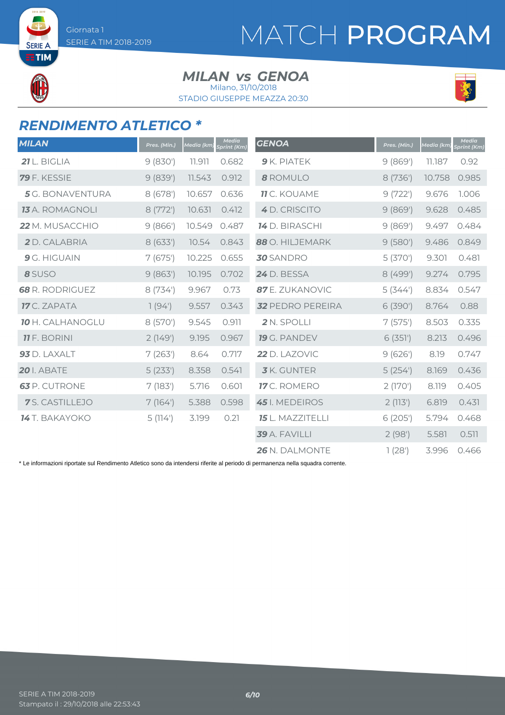**SERIE A ETIM** 

# MATCH PROGRAM

#### *MILAN GENOA vs*

STADIO GIUSEPPE MEAZZA 20:30 Milano, 31/10/2018



### *RENDIMENTO ATLETICO \**

| <b>MILAN</b>            | Pres. (Min.) | Media (km | <b>Media</b><br><b>Sprint (Km)</b> | <b>GENOA</b>            | Pres. (Min.) | Media (km) | <b>Media</b><br><b>Sprint (Km)</b> |
|-------------------------|--------------|-----------|------------------------------------|-------------------------|--------------|------------|------------------------------------|
| 21 L. BIGLIA            | 9(830)       | 11.911    | 0.682                              | 9 K. PIATEK             | 9(869)       | 11.187     | 0.92                               |
| <b>79</b> F. KESSIE     | 9(839')      | 11.543    | 0.912                              | 8 ROMULO                | 8 (736')     | 10.758     | 0.985                              |
| <b>5</b> G. BONAVENTURA | 8 (678')     | 10.657    | 0.636                              | <b>11</b> C. KOUAME     | 9(722)       | 9.676      | 1.006                              |
| <b>13</b> A. ROMAGNOLI  | 8(772)       | 10.631    | 0.412                              | 4 D. CRISCITO           | 9(869)       | 9.628      | 0.485                              |
| 22 M. MUSACCHIO         | 9(866')      | 10.549    | 0.487                              | <b>14</b> D. BIRASCHI   | 9(869)       | 9.497      | 0.484                              |
| 2 D. CALABRIA           | 8(633')      | 10.54     | 0.843                              | 88 O. HILJEMARK         | 9(580)       | 9.486      | 0.849                              |
| 9 G. HIGUAIN            | 7(675)       | 10.225    | 0.655                              | <b>30</b> SANDRO        | 5(370)       | 9.301      | 0.481                              |
| 8 SUSO                  | 9(863)       | 10.195    | 0.702                              | 24 D. BESSA             | 8(499')      | 9.274      | 0.795                              |
| <b>68</b> R. RODRIGUEZ  | 8 (734)      | 9.967     | 0.73                               | 87 E. ZUKANOVIC         | 5(344)       | 8.834      | 0.547                              |
| <b>17</b> C. ZAPATA     | 1(94)        | 9.557     | 0.343                              | <b>32 PEDRO PEREIRA</b> | 6 (390')     | 8.764      | 0.88                               |
| <b>10 H. CALHANOGLU</b> | 8 (570')     | 9.545     | 0.911                              | 2 N. SPOLLI             | 7(575)       | 8.503      | 0.335                              |
| <b>11</b> F. BORINI     | 2(149)       | 9.195     | 0.967                              | 19 G. PANDEV            | 6(351)       | 8.213      | 0.496                              |
| 93 D. LAXALT            | 7(263)       | 8.64      | 0.717                              | 22 D. LAZOVIC           | 9(626)       | 8.19       | 0.747                              |
| <b>20</b> I. ABATE      | 5(233')      | 8.358     | 0.541                              | <b>3</b> K. GUNTER      | 5(254)       | 8.169      | 0.436                              |
| <b>63</b> P. CUTRONE    | 7(183)       | 5.716     | 0.601                              | 17 C. ROMERO            | 2(170)       | 8.119      | 0.405                              |
| 7 S. CASTILLEJO         | 7(164)       | 5.388     | 0.598                              | 45 I. MEDEIROS          | 2(113)       | 6.819      | 0.431                              |
| 14 T. BAKAYOKO          | 5(114)       | 3.199     | 0.21                               | 15 L. MAZZITELLI        | 6(205)       | 5.794      | 0.468                              |
|                         |              |           |                                    | 39 A. FAVILLI           | 2(98)        | 5.581      | 0.511                              |
|                         |              |           |                                    | 26 N. DALMONTE          | 1(28)        | 3.996      | 0.466                              |

\* Le informazioni riportate sul Rendimento Atletico sono da intendersi riferite al periodo di permanenza nella squadra corrente.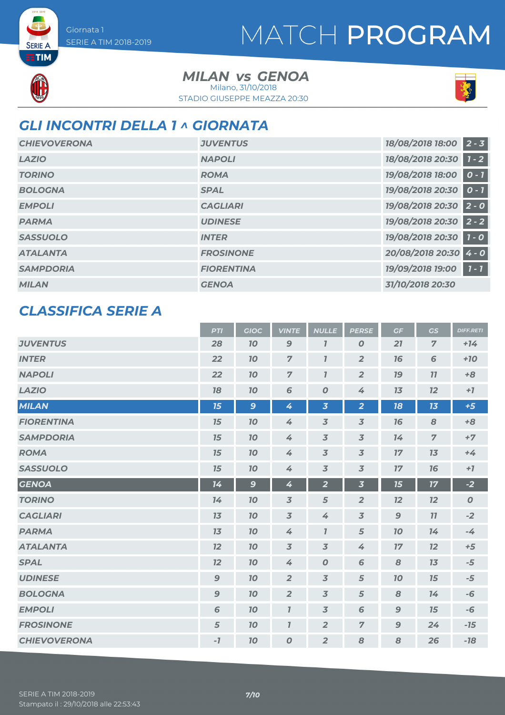# MATCH PROGRAM



**SERIE A** 

*MILAN GENOA vs* STADIO GIUSEPPE MEAZZA 20:30 Milano, 31/10/2018



### *GLI INCONTRI DELLA 1 ^ GIORNATA*

| <b>CHIEVOVERONA</b> | <b>JUVENTUS</b>   | 18/08/2018 18:00       | $2 - 3$            |
|---------------------|-------------------|------------------------|--------------------|
| <b>LAZIO</b>        | <b>NAPOLI</b>     | 18/08/2018 20:30       | $1 - 2$            |
| <b>TORINO</b>       | <b>ROMA</b>       | 19/08/2018 18:00       | $0 - 1$            |
| <b>BOLOGNA</b>      | <b>SPAL</b>       | 19/08/2018 20:30       | $0 - 1$            |
| <b>EMPOLI</b>       | <b>CAGLIARI</b>   | 19/08/2018 20:30 2 - 0 |                    |
| <b>PARMA</b>        | <b>UDINESE</b>    | 19/08/2018 20:30       | $\overline{2}$ - 2 |
| <b>SASSUOLO</b>     | <b>INTER</b>      | 19/08/2018 20:30       | $1 - 0$            |
| <b>ATALANTA</b>     | <b>FROSINONE</b>  | 20/08/2018 20:30       | $4 - 0$            |
| <b>SAMPDORIA</b>    | <b>FIORENTINA</b> | 19/09/2018 19:00       | $7 - 7$            |
| <b>MILAN</b>        | <b>GENOA</b>      | 31/10/2018 20:30       |                    |

#### *CLASSIFICA SERIE A*

|                     | <b>PTI</b>       | <b>GIOC</b>  | <b>VINTE</b>     | <b>NULLE</b>            | <b>PERSE</b>            | GF           | <b>GS</b>      | <b>DIFF.RETI</b> |
|---------------------|------------------|--------------|------------------|-------------------------|-------------------------|--------------|----------------|------------------|
| <b>JUVENTUS</b>     | 28               | 70           | $\mathbf{9}$     | $\overline{I}$          | $\boldsymbol{O}$        | 21           | $\overline{7}$ | $+14$            |
| <b>INTER</b>        | 22               | 70           | $\overline{z}$   | $\mathbf{I}$            | $\overline{2}$          | 16           | 6              | $+10$            |
| <b>NAPOLI</b>       | 22               | 10           | $\overline{7}$   | $\mathbf{I}$            | $\overline{2}$          | 79           | 77             | $+8$             |
| <b>LAZIO</b>        | 18               | 10           | 6                | $\boldsymbol{o}$        | 4                       | 13           | 12             | $+7$             |
| <b>MILAN</b>        | 15               | $\mathbf{9}$ | 4                | $\overline{\mathbf{3}}$ | $\overline{2}$          | 18           | 13             | $+5$             |
| <b>FIORENTINA</b>   | 15               | 70           | 4                | $\overline{3}$          | $\overline{3}$          | 16           | 8              | $+8$             |
| <b>SAMPDORIA</b>    | 15               | 70           | 4                | $\overline{3}$          | $\overline{3}$          | 74           | $\overline{7}$ | $+7$             |
| <b>ROMA</b>         | 15               | 70           | 4                | $\overline{3}$          | $\overline{3}$          | 17           | 13             | $+4$             |
| <b>SASSUOLO</b>     | 15               | 10           | 4                | $\overline{3}$          | $\overline{3}$          | 17           | 16             | $+7$             |
| <b>GENOA</b>        | 14               | $\mathbf{9}$ | 4                | $\overline{\mathbf{2}}$ | $\overline{\mathbf{3}}$ | 15           | 17             | $-2$             |
| <b>TORINO</b>       | 14               | 10           | $\overline{3}$   | 5                       | $\overline{2}$          | 12           | 12             | $\boldsymbol{O}$ |
| <b>CAGLIARI</b>     | 13               | 10           | $\overline{3}$   | 4                       | $\overline{3}$          | $\mathbf{9}$ | 77             | $-2$             |
| <b>PARMA</b>        | 13               | 70           | 4                | $\mathbf{7}$            | 5                       | 10           | 14             | $-4$             |
| <b>ATALANTA</b>     | 12               | 70           | $\overline{3}$   | $\overline{3}$          | 4                       | 17           | 12             | $+5$             |
| <b>SPAL</b>         | 12               | 70           | 4                | $\boldsymbol{O}$        | 6                       | 8            | 13             | $-5$             |
| <b>UDINESE</b>      | $\mathbf{9}$     | 70           | $\overline{2}$   | $\overline{3}$          | 5                       | 70           | 15             | $-5$             |
| <b>BOLOGNA</b>      | $\boldsymbol{9}$ | 70           | $\overline{2}$   | $\overline{3}$          | 5                       | 8            | 74             | $-6$             |
| <b>EMPOLI</b>       | 6                | 70           | $\overline{I}$   | $\overline{3}$          | 6                       | $\mathbf{9}$ | 15             | $-6$             |
| <b>FROSINONE</b>    | 5                | 70           | $\mathbf{I}$     | $\overline{2}$          | $\overline{7}$          | $\mathbf{9}$ | 24             | $-15$            |
| <b>CHIEVOVERONA</b> | $-7$             | 70           | $\boldsymbol{0}$ | $\overline{2}$          | 8                       | 8            | 26             | $-18$            |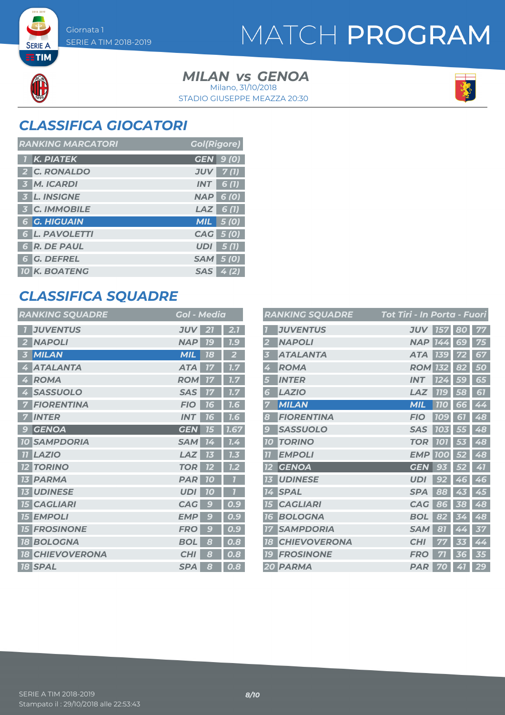**SERIE A ETIM** 

# MATCH PROGRAM

#### *MILAN GENOA vs* STADIO GIUSEPPE MEAZZA 20:30 Milano, 31/10/2018



## *CLASSIFICA GIOCATORI*

| <b>RANKING MARCATORI</b> | <b>Gol(Rigore)</b>  |
|--------------------------|---------------------|
| 1 K. PIATEK              | <b>GEN</b> 9 (0)    |
| 2 C. RONALDO             | 7(1)<br><b>JUV</b>  |
| 3 M. ICARDI              | <b>INT</b><br>6 (1) |
| 3 L. INSIGNE             | <b>NAP 6 (0)</b>    |
| <b>3 C. IMMOBILE</b>     | $LAZ$ 6(1)          |
| <b>6 G. HIGUAIN</b>      | $MIL$ 5 (0)         |
| <b>6 L. PAVOLETTI</b>    | CAG 5 (0)           |
| <b>6 R. DE PAUL</b>      | 5(1)<br>UDI         |
| <b>6 G. DEFREL</b>       | <b>SAM</b> 5 (0)    |
| <b>10 K. BOATENG</b>     | SAS  <br>4(2)       |

### *CLASSIFICA SQUADRE*

| <b>RANKING SQUADRE</b>           | Gol - Media      |                           |
|----------------------------------|------------------|---------------------------|
| <b>JUVENTUS</b>                  | <b>JUV</b><br>21 | 2.1                       |
| <b>NAPOLI</b><br>2               | <b>NAP</b><br>7c | 1.9                       |
| <b>MILAN</b><br>3                | <b>MIL</b><br>18 | 2                         |
| <b>ATALANTA</b><br>4             | <b>ATA</b><br>17 | $\overline{\mathbf{1.7}}$ |
| <b>ROMA</b><br>$\overline{A}$    | <b>ROM</b><br>77 | 1.7                       |
| <b>SASSUOLO</b><br>4             | <b>SAS</b><br>77 | 7.7                       |
| <b>FIORENTINA</b>                | <b>FIO</b><br>16 | 1.6                       |
| <b>INTER</b>                     | <b>INT</b><br>76 | 7.6                       |
| <b>GENOA</b><br>$\overline{g}$   | <b>GEN</b><br>15 | 1.67                      |
| <b>SAMPDORIA</b><br><b>10</b>    | <b>SAM</b><br>14 | 1.4                       |
| <b>LAZIO</b><br>77               | LAZ<br>73        | 1.3                       |
| <b>TORINO</b><br>12              | <b>TOR</b><br>12 | 7.2                       |
| <b>PARMA</b><br>73               | <b>PAR</b><br>70 | 7                         |
| <b>UDINESE</b><br>13             | <b>UDI</b><br>70 |                           |
| <b>CAGLIARI</b><br>75            | <b>CAG</b><br>C  | 0.9                       |
| <b>EMPOLI</b><br><b>75</b>       | <b>EMP</b><br>G  | 0.9                       |
| <b>FROSINONE</b><br>75           | <b>FRO</b><br>C  | 0.9                       |
| <b>BOLOGNA</b><br><b>18</b>      | <b>BOL</b><br>8  | 0.8                       |
| <b>CHIEVOVERONA</b><br><b>18</b> | <b>CHI</b><br>8  | 0.8                       |
| <b>18 SPAL</b>                   | <b>SPA</b><br>8  | 0.8                       |

|                | <b>RANKING SQUADRE</b> | Tot Tiri - In Porta - Fuori |            |     |    |
|----------------|------------------------|-----------------------------|------------|-----|----|
|                | <b>JUVENTUS</b>        | <b>JUV</b>                  | 157        | 80  |    |
| 2              | <b>NAPOLI</b>          | <b>NAP</b>                  | 74.<br>4   | 69  | 75 |
| 3              | <b>ATALANTA</b>        | <b>ATA</b>                  | <b>139</b> |     | 67 |
| 4              | <b>ROMA</b>            | <b>ROM</b>                  | 132        | 82  | 50 |
| 5              | <b>INTER</b>           | <b>INT</b>                  | 124        | 59  | 65 |
| 6              | <b>LAZIO</b>           | LAZ                         | <b>119</b> | 58  | 61 |
| 7              | <b>MILAN</b>           | <b>MIL</b>                  | <b>110</b> | 66  | 44 |
| 8              | <b>FIORENTINA</b>      | <b>FIO</b>                  | 109        | 51  | 48 |
| 9              | <b>SASSUOLO</b>        | <b>SAS</b>                  | 103        | 55  | 48 |
| <b>10</b>      | <b>TORINO</b>          | <b>TOR</b>                  | <b>101</b> | 53  | 48 |
| $\overline{u}$ | <b>EMPOLI</b>          | <b>EMP</b>                  | 10<br>0    |     | 48 |
| 12             | <b>GENOA</b>           | GEN                         | g          |     | 41 |
| 13             | <b>UDINESE</b>         | <b>UDI</b>                  | 92         | 46  | 46 |
| 14             | <b>SPAL</b>            | <b>SPA</b>                  | 88         | 43  | 45 |
| 15             | <b>CAGLIARI</b>        | <b>CAG</b>                  | 86         | 38  | 48 |
| 16             | <b>BOLOGNA</b>         | <b>BOL</b>                  | 82         |     | 48 |
| 77             | <b>SAMPDORIA</b>       | <b>SAM</b>                  | 81         | Ą   | 37 |
| 18             | <b>CHIEVOVERONA</b>    | <b>CHI</b>                  |            | EśE | 44 |
| 79             | <b>FROSINONE</b>       | <b>FRO</b>                  |            | 36  | 35 |
| 20             | <b>PARMA</b>           | <b>PAR</b>                  | 70         | 41  | 29 |